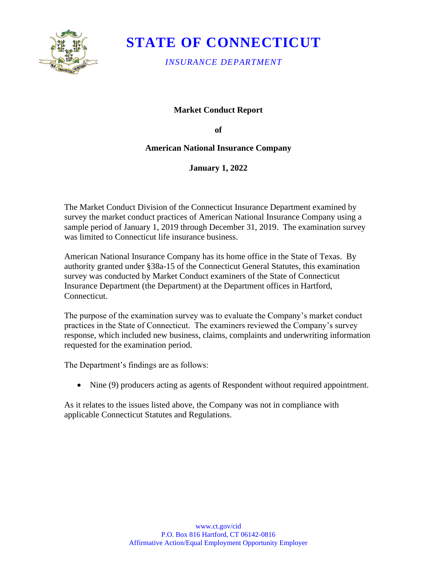

# **STATE OF CONNECTICUT**

*INSURANCE DEPARTMENT* 

## **Market Conduct Report**

**of** 

### **American National Insurance Company**

**January 1, 2022** 

The Market Conduct Division of the Connecticut Insurance Department examined by survey the market conduct practices of American National Insurance Company using a sample period of January 1, 2019 through December 31, 2019. The examination survey was limited to Connecticut life insurance business.

American National Insurance Company has its home office in the State of Texas. By authority granted under §38a-15 of the Connecticut General Statutes, this examination survey was conducted by Market Conduct examiners of the State of Connecticut Insurance Department (the Department) at the Department offices in Hartford, Connecticut.

The purpose of the examination survey was to evaluate the Company's market conduct practices in the State of Connecticut. The examiners reviewed the Company's survey response, which included new business, claims, complaints and underwriting information requested for the examination period.

The Department's findings are as follows:

• Nine (9) producers acting as agents of Respondent without required appointment.

As it relates to the issues listed above, the Company was not in compliance with applicable Connecticut Statutes and Regulations.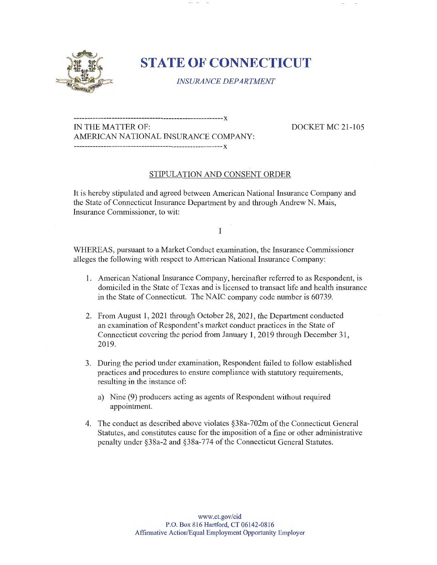

# **STATE OF CONNECTICUT**

*INSURANCE DEPARTMENT* 

**-------------------------------------------------------x**  IN THE MATTER OF: DOCKET MC 21-105 AMERICAN NATIONAL INSURANCE COMPANY: **-------------------------------------------------------x** 

### STIPULATION AND CONSENT ORDER

It is hereby stipulated and agreed between American National Insurance Company and the State of Connecticut Insurance Department by and through Andrew N. Mais, Insurance Commissioner, to wit:

I

WHEREAS, pursuant to a Market Conduct examination, the Insurance Commissioner alleges the following with respect to American National Insurance Company:

- 1. American National Insurance Company, hereinafter referred to as Respondent, is domiciled in the State of Texas and is licensed to transact life and health insurance in the State of Connecticut. The NAIC company code number is 60739.
- 2. From August 1, 2021 through October 28, 2021, the Department conducted an examination of Respondent's market conduct practices in the State of Connecticut covering the period from January 1, 2019 through December 31, 2019.
- 3. During the period under examination, Respondent failed to follow established practices and procedures to ensure compliance with statutory requirements, resulting in the instance of:
	- a) Nine (9) producers acting as agents of Respondent without required appointment.
- 4. The conduct as described above violates §38a-702m of the Connecticut General Statutes, and constitutes cause for the imposition of a fine or other administrative penalty under §38a-2 and §38a-774 of the Connecticut General Statutes.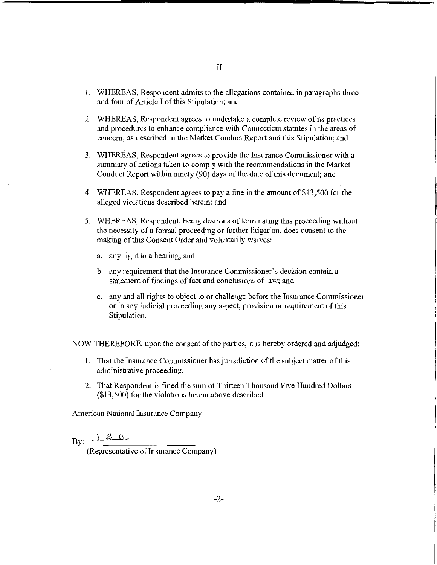- I. WHEREAS, Respondent admits to the allegations contained in paragraphs three and four of Article I of this Stipulation; and
- 2. WHEREAS, Respondent agrees to undertake a complete review of its practices and procedures to enhance compliance with Connecticut statutes in the areas of concern, as described in the Market Conduct Report and this Stipulation; and
- 3. WHEREAS, Respondent agrees to provide the Insurance Commissioner with a summary of actions taken to comply with the recommendations in the Market Conduct Report within ninety (90) days of the date of this document; and
- 4. WHEREAS, Respondent agrees to pay a fine in the amount of \$13,500 for the alleged violations described herein; and
- 5. WHEREAS, Respondent, being desirous of terminating this proceeding without the necessity of a formal proceeding or further litigation, does consent to the making of this Consent Order and voluntarily waives:
	- a. any right to a hearing; and
	- b. any requirement that the Insurance Commissioner's decision contain a statement of findings of fact and conclusions of law; and
	- c. any and all rights to object to or challenge before the Insurance Commissioner or in any judicial proceeding any aspect, provision or requirement of this Stipulation.

NOW THEREFORE, upon the consent of the parties, it is hereby ordered and adjudged:

- 1. That the Insurance Commissioner has jurisdiction of the subject matter of this administrative proceeding.
- 2. That Respondent is fined the sum of Thirteen Thousand Five Hundred Dollars (\$13,500) for the violations herein above described.

American National Insurance Company

 $By: _{\_}$   $J_{-}$  $B_{-}$ 

(Representative of Insurance Company)